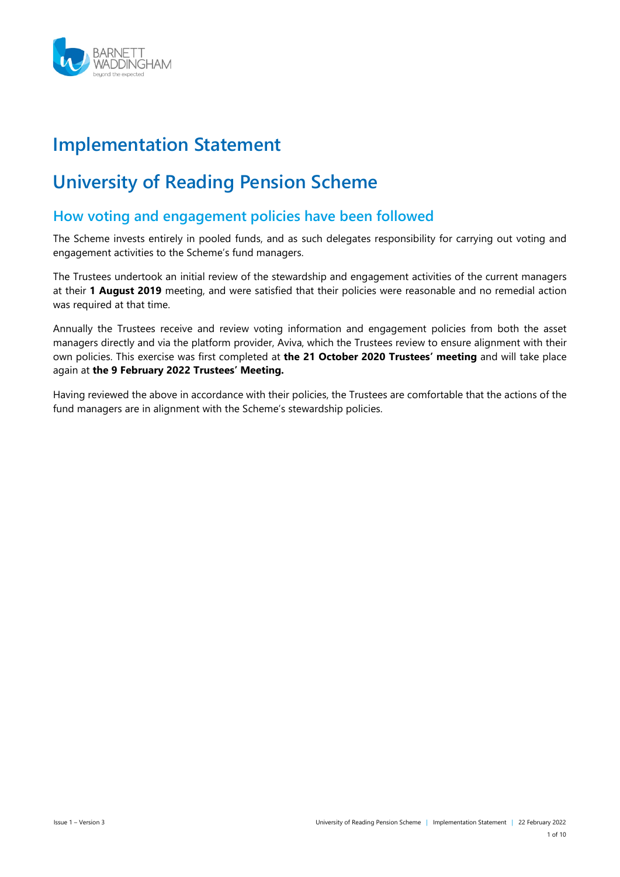

# **Implementation Statement**

# **University of Reading Pension Scheme**

# **How voting and engagement policies have been followed**

The Scheme invests entirely in pooled funds, and as such delegates responsibility for carrying out voting and engagement activities to the Scheme's fund managers.

The Trustees undertook an initial review of the stewardship and engagement activities of the current managers at their **1 August 2019** meeting, and were satisfied that their policies were reasonable and no remedial action was required at that time.

Annually the Trustees receive and review voting information and engagement policies from both the asset managers directly and via the platform provider, Aviva, which the Trustees review to ensure alignment with their own policies. This exercise was first completed at **the 21 October 2020 Trustees' meeting** and will take place again at **the 9 February 2022 Trustees' Meeting.**

Having reviewed the above in accordance with their policies, the Trustees are comfortable that the actions of the fund managers are in alignment with the Scheme's stewardship policies.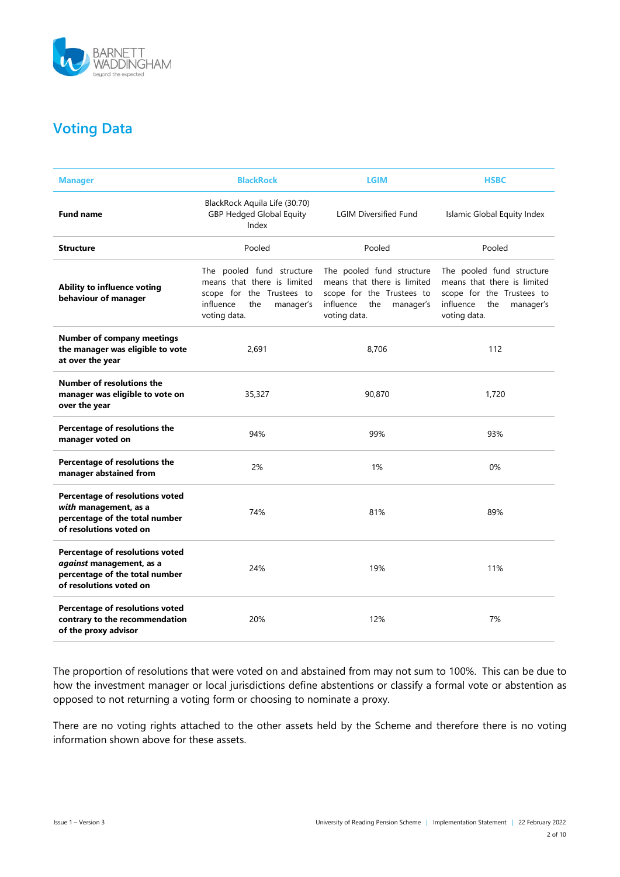

# **Voting Data**

| <b>Manager</b>                                                                                                           | <b>BlackRock</b>                                                                                                                       | <b>LGIM</b>                                                                                                                         | <b>HSBC</b>                                                                                                                            |
|--------------------------------------------------------------------------------------------------------------------------|----------------------------------------------------------------------------------------------------------------------------------------|-------------------------------------------------------------------------------------------------------------------------------------|----------------------------------------------------------------------------------------------------------------------------------------|
| <b>Fund name</b>                                                                                                         | BlackRock Aquila Life (30:70)<br><b>GBP Hedged Global Equity</b><br>Index                                                              | <b>LGIM Diversified Fund</b>                                                                                                        | Islamic Global Equity Index                                                                                                            |
| <b>Structure</b>                                                                                                         | Pooled                                                                                                                                 | Pooled                                                                                                                              | Pooled                                                                                                                                 |
| Ability to influence voting<br>behaviour of manager                                                                      | The pooled fund structure<br>means that there is limited<br>scope for the Trustees to<br>influence<br>the<br>manager's<br>voting data. | The pooled fund structure<br>means that there is limited<br>scope for the Trustees to<br>influence the<br>manager's<br>voting data. | The pooled fund structure<br>means that there is limited<br>scope for the Trustees to<br>influence<br>the<br>manager's<br>voting data. |
| <b>Number of company meetings</b><br>the manager was eligible to vote<br>at over the year                                | 2,691                                                                                                                                  | 8,706                                                                                                                               | 112                                                                                                                                    |
| Number of resolutions the<br>manager was eligible to vote on<br>over the year                                            | 35,327                                                                                                                                 | 90,870                                                                                                                              | 1,720                                                                                                                                  |
| Percentage of resolutions the<br>manager voted on                                                                        | 94%                                                                                                                                    | 99%                                                                                                                                 | 93%                                                                                                                                    |
| Percentage of resolutions the<br>manager abstained from                                                                  | 2%                                                                                                                                     | 1%                                                                                                                                  | 0%                                                                                                                                     |
| Percentage of resolutions voted<br>with management, as a<br>percentage of the total number<br>of resolutions voted on    | 74%                                                                                                                                    | 81%                                                                                                                                 | 89%                                                                                                                                    |
| Percentage of resolutions voted<br>against management, as a<br>percentage of the total number<br>of resolutions voted on | 24%                                                                                                                                    | 19%                                                                                                                                 | 11%                                                                                                                                    |
| Percentage of resolutions voted<br>contrary to the recommendation<br>of the proxy advisor                                | 20%                                                                                                                                    | 12%                                                                                                                                 | 7%                                                                                                                                     |

The proportion of resolutions that were voted on and abstained from may not sum to 100%. This can be due to how the investment manager or local jurisdictions define abstentions or classify a formal vote or abstention as opposed to not returning a voting form or choosing to nominate a proxy.

There are no voting rights attached to the other assets held by the Scheme and therefore there is no voting information shown above for these assets.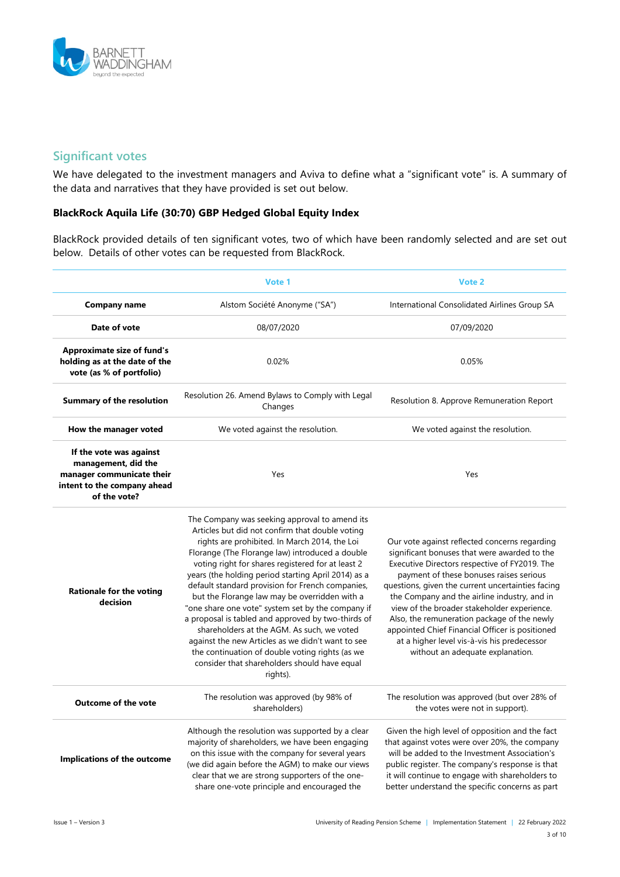

### **Significant votes**

We have delegated to the investment managers and Aviva to define what a "significant vote" is. A summary of the data and narratives that they have provided is set out below.

#### **BlackRock Aquila Life (30:70) GBP Hedged Global Equity Index**

BlackRock provided details of ten significant votes, two of which have been randomly selected and are set out below. Details of other votes can be requested from BlackRock.

|                                                                                                                            | Vote 1                                                                                                                                                                                                                                                                                                                                                                                                                                                                                                                                                                                                                                                                                                                                             | Vote 2                                                                                                                                                                                                                                                                                                                                                                                                                                                                                                                             |
|----------------------------------------------------------------------------------------------------------------------------|----------------------------------------------------------------------------------------------------------------------------------------------------------------------------------------------------------------------------------------------------------------------------------------------------------------------------------------------------------------------------------------------------------------------------------------------------------------------------------------------------------------------------------------------------------------------------------------------------------------------------------------------------------------------------------------------------------------------------------------------------|------------------------------------------------------------------------------------------------------------------------------------------------------------------------------------------------------------------------------------------------------------------------------------------------------------------------------------------------------------------------------------------------------------------------------------------------------------------------------------------------------------------------------------|
| <b>Company name</b>                                                                                                        | Alstom Société Anonyme ("SA")                                                                                                                                                                                                                                                                                                                                                                                                                                                                                                                                                                                                                                                                                                                      | International Consolidated Airlines Group SA                                                                                                                                                                                                                                                                                                                                                                                                                                                                                       |
| Date of vote                                                                                                               | 08/07/2020                                                                                                                                                                                                                                                                                                                                                                                                                                                                                                                                                                                                                                                                                                                                         | 07/09/2020                                                                                                                                                                                                                                                                                                                                                                                                                                                                                                                         |
| <b>Approximate size of fund's</b><br>holding as at the date of the<br>vote (as % of portfolio)                             | 0.02%                                                                                                                                                                                                                                                                                                                                                                                                                                                                                                                                                                                                                                                                                                                                              | 0.05%                                                                                                                                                                                                                                                                                                                                                                                                                                                                                                                              |
| <b>Summary of the resolution</b>                                                                                           | Resolution 26. Amend Bylaws to Comply with Legal<br>Changes                                                                                                                                                                                                                                                                                                                                                                                                                                                                                                                                                                                                                                                                                        | Resolution 8. Approve Remuneration Report                                                                                                                                                                                                                                                                                                                                                                                                                                                                                          |
| How the manager voted                                                                                                      | We voted against the resolution.                                                                                                                                                                                                                                                                                                                                                                                                                                                                                                                                                                                                                                                                                                                   | We voted against the resolution.                                                                                                                                                                                                                                                                                                                                                                                                                                                                                                   |
| If the vote was against<br>management, did the<br>manager communicate their<br>intent to the company ahead<br>of the vote? | Yes                                                                                                                                                                                                                                                                                                                                                                                                                                                                                                                                                                                                                                                                                                                                                | Yes                                                                                                                                                                                                                                                                                                                                                                                                                                                                                                                                |
| <b>Rationale for the voting</b><br>decision                                                                                | The Company was seeking approval to amend its<br>Articles but did not confirm that double voting<br>rights are prohibited. In March 2014, the Loi<br>Florange (The Florange law) introduced a double<br>voting right for shares registered for at least 2<br>years (the holding period starting April 2014) as a<br>default standard provision for French companies,<br>but the Florange law may be overridden with a<br>"one share one vote" system set by the company if<br>a proposal is tabled and approved by two-thirds of<br>shareholders at the AGM. As such, we voted<br>against the new Articles as we didn't want to see<br>the continuation of double voting rights (as we<br>consider that shareholders should have equal<br>rights). | Our vote against reflected concerns regarding<br>significant bonuses that were awarded to the<br>Executive Directors respective of FY2019. The<br>payment of these bonuses raises serious<br>questions, given the current uncertainties facing<br>the Company and the airline industry, and in<br>view of the broader stakeholder experience.<br>Also, the remuneration package of the newly<br>appointed Chief Financial Officer is positioned<br>at a higher level vis-à-vis his predecessor<br>without an adequate explanation. |
| <b>Outcome of the vote</b>                                                                                                 | The resolution was approved (by 98% of<br>shareholders)                                                                                                                                                                                                                                                                                                                                                                                                                                                                                                                                                                                                                                                                                            | The resolution was approved (but over 28% of<br>the votes were not in support).                                                                                                                                                                                                                                                                                                                                                                                                                                                    |
| Implications of the outcome                                                                                                | Although the resolution was supported by a clear<br>majority of shareholders, we have been engaging<br>on this issue with the company for several years<br>(we did again before the AGM) to make our views<br>clear that we are strong supporters of the one-<br>share one-vote principle and encouraged the                                                                                                                                                                                                                                                                                                                                                                                                                                       | Given the high level of opposition and the fact<br>that against votes were over 20%, the company<br>will be added to the Investment Association's<br>public register. The company's response is that<br>it will continue to engage with shareholders to<br>better understand the specific concerns as part                                                                                                                                                                                                                         |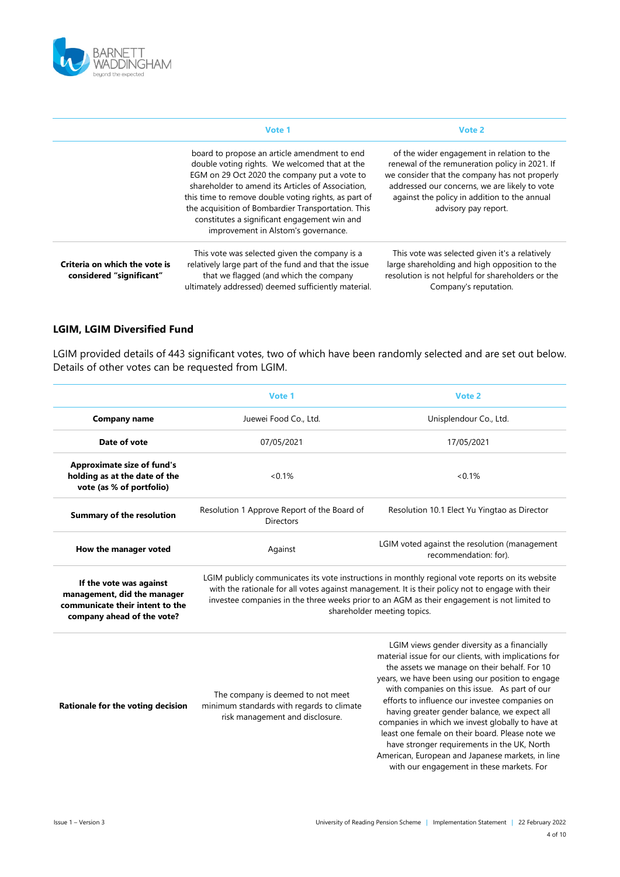

|                                                           | Vote 1                                                                                                                                                                                                                                                                                                                                                                                                  | Vote 2                                                                                                                                                                                                                                                                 |  |
|-----------------------------------------------------------|---------------------------------------------------------------------------------------------------------------------------------------------------------------------------------------------------------------------------------------------------------------------------------------------------------------------------------------------------------------------------------------------------------|------------------------------------------------------------------------------------------------------------------------------------------------------------------------------------------------------------------------------------------------------------------------|--|
|                                                           | board to propose an article amendment to end<br>double voting rights. We welcomed that at the<br>EGM on 29 Oct 2020 the company put a vote to<br>shareholder to amend its Articles of Association.<br>this time to remove double voting rights, as part of<br>the acquisition of Bombardier Transportation. This<br>constitutes a significant engagement win and<br>improvement in Alstom's governance. | of the wider engagement in relation to the<br>renewal of the remuneration policy in 2021. If<br>we consider that the company has not properly<br>addressed our concerns, we are likely to vote<br>against the policy in addition to the annual<br>advisory pay report. |  |
| Criteria on which the vote is<br>considered "significant" | This vote was selected given the company is a<br>relatively large part of the fund and that the issue<br>that we flagged (and which the company<br>ultimately addressed) deemed sufficiently material.                                                                                                                                                                                                  | This vote was selected given it's a relatively<br>large shareholding and high opposition to the<br>resolution is not helpful for shareholders or the<br>Company's reputation.                                                                                          |  |

#### **LGIM, LGIM Diversified Fund**

LGIM provided details of 443 significant votes, two of which have been randomly selected and are set out below. Details of other votes can be requested from LGIM.

|                                                                                                                         | Vote 1                                                                                                                                                                                                                                                                                                                             | Vote 2                                                                                                                                                                                                                                                                                                                                                                                                                                                                                                                                                                                                             |  |
|-------------------------------------------------------------------------------------------------------------------------|------------------------------------------------------------------------------------------------------------------------------------------------------------------------------------------------------------------------------------------------------------------------------------------------------------------------------------|--------------------------------------------------------------------------------------------------------------------------------------------------------------------------------------------------------------------------------------------------------------------------------------------------------------------------------------------------------------------------------------------------------------------------------------------------------------------------------------------------------------------------------------------------------------------------------------------------------------------|--|
| <b>Company name</b>                                                                                                     | Juewei Food Co., Ltd.                                                                                                                                                                                                                                                                                                              | Unisplendour Co., Ltd.                                                                                                                                                                                                                                                                                                                                                                                                                                                                                                                                                                                             |  |
| Date of vote                                                                                                            | 07/05/2021                                                                                                                                                                                                                                                                                                                         | 17/05/2021                                                                                                                                                                                                                                                                                                                                                                                                                                                                                                                                                                                                         |  |
| <b>Approximate size of fund's</b><br>holding as at the date of the<br>vote (as % of portfolio)                          | $< 0.1\%$                                                                                                                                                                                                                                                                                                                          | $<0.1\%$                                                                                                                                                                                                                                                                                                                                                                                                                                                                                                                                                                                                           |  |
| <b>Summary of the resolution</b>                                                                                        | Resolution 1 Approve Report of the Board of<br><b>Directors</b>                                                                                                                                                                                                                                                                    | Resolution 10.1 Elect Yu Yingtao as Director                                                                                                                                                                                                                                                                                                                                                                                                                                                                                                                                                                       |  |
| How the manager voted                                                                                                   | Against                                                                                                                                                                                                                                                                                                                            | LGIM voted against the resolution (management<br>recommendation: for).                                                                                                                                                                                                                                                                                                                                                                                                                                                                                                                                             |  |
| If the vote was against<br>management, did the manager<br>communicate their intent to the<br>company ahead of the vote? | LGIM publicly communicates its vote instructions in monthly regional vote reports on its website<br>with the rationale for all votes against management. It is their policy not to engage with their<br>investee companies in the three weeks prior to an AGM as their engagement is not limited to<br>shareholder meeting topics. |                                                                                                                                                                                                                                                                                                                                                                                                                                                                                                                                                                                                                    |  |
| Rationale for the voting decision                                                                                       | The company is deemed to not meet<br>minimum standards with regards to climate<br>risk management and disclosure.                                                                                                                                                                                                                  | LGIM views gender diversity as a financially<br>material issue for our clients, with implications for<br>the assets we manage on their behalf. For 10<br>years, we have been using our position to engage<br>with companies on this issue. As part of our<br>efforts to influence our investee companies on<br>having greater gender balance, we expect all<br>companies in which we invest globally to have at<br>least one female on their board. Please note we<br>have stronger requirements in the UK, North<br>American, European and Japanese markets, in line<br>with our engagement in these markets. For |  |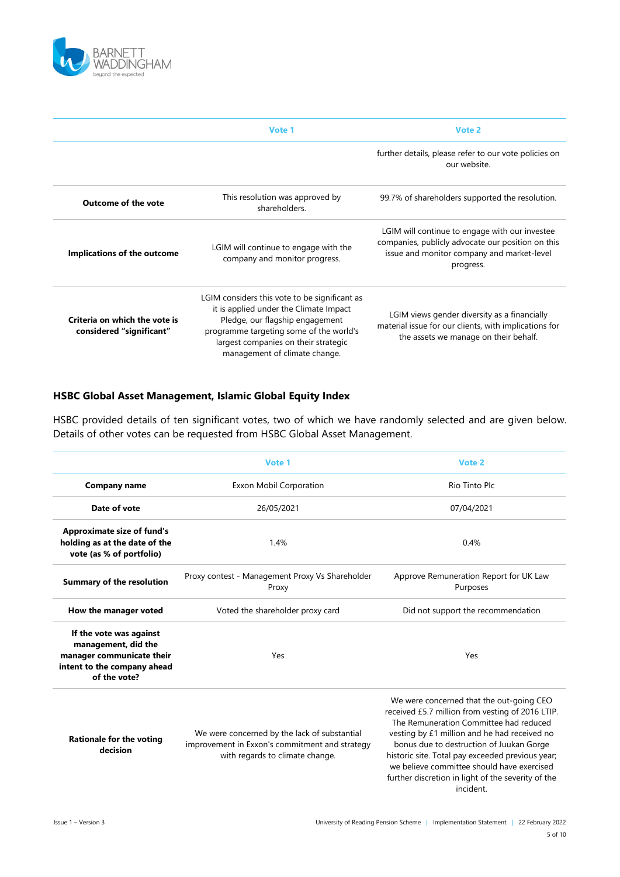

|                                                           | Vote 1                                                                                                                                                                                                                                         | Vote 2                                                                                                                                                         |
|-----------------------------------------------------------|------------------------------------------------------------------------------------------------------------------------------------------------------------------------------------------------------------------------------------------------|----------------------------------------------------------------------------------------------------------------------------------------------------------------|
|                                                           |                                                                                                                                                                                                                                                | further details, please refer to our vote policies on<br>our website.                                                                                          |
| <b>Outcome of the vote</b>                                | This resolution was approved by<br>shareholders.                                                                                                                                                                                               | 99.7% of shareholders supported the resolution.                                                                                                                |
| Implications of the outcome                               | LGIM will continue to engage with the<br>company and monitor progress.                                                                                                                                                                         | LGIM will continue to engage with our investee<br>companies, publicly advocate our position on this<br>issue and monitor company and market-level<br>progress. |
| Criteria on which the vote is<br>considered "significant" | LGIM considers this vote to be significant as<br>it is applied under the Climate Impact<br>Pledge, our flagship engagement<br>programme targeting some of the world's<br>largest companies on their strategic<br>management of climate change. | LGIM views gender diversity as a financially<br>material issue for our clients, with implications for<br>the assets we manage on their behalf.                 |

#### **HSBC Global Asset Management, Islamic Global Equity Index**

HSBC provided details of ten significant votes, two of which we have randomly selected and are given below. Details of other votes can be requested from HSBC Global Asset Management.

|                                                                                                                            | Vote 1                                                                                                                            | Vote 2                                                                                                                                                                                                                                                                                                                                                                                                  |  |
|----------------------------------------------------------------------------------------------------------------------------|-----------------------------------------------------------------------------------------------------------------------------------|---------------------------------------------------------------------------------------------------------------------------------------------------------------------------------------------------------------------------------------------------------------------------------------------------------------------------------------------------------------------------------------------------------|--|
| <b>Company name</b>                                                                                                        | <b>Exxon Mobil Corporation</b>                                                                                                    | Rio Tinto Plc                                                                                                                                                                                                                                                                                                                                                                                           |  |
| Date of vote                                                                                                               | 26/05/2021                                                                                                                        | 07/04/2021                                                                                                                                                                                                                                                                                                                                                                                              |  |
| <b>Approximate size of fund's</b><br>holding as at the date of the<br>vote (as % of portfolio)                             | 1.4%                                                                                                                              | 0.4%                                                                                                                                                                                                                                                                                                                                                                                                    |  |
| <b>Summary of the resolution</b>                                                                                           | Proxy contest - Management Proxy Vs Shareholder<br>Proxy                                                                          | Approve Remuneration Report for UK Law<br>Purposes                                                                                                                                                                                                                                                                                                                                                      |  |
| How the manager voted                                                                                                      | Voted the shareholder proxy card                                                                                                  | Did not support the recommendation                                                                                                                                                                                                                                                                                                                                                                      |  |
| If the vote was against<br>management, did the<br>manager communicate their<br>intent to the company ahead<br>of the vote? | Yes                                                                                                                               | Yes                                                                                                                                                                                                                                                                                                                                                                                                     |  |
| <b>Rationale for the voting</b><br>decision                                                                                | We were concerned by the lack of substantial<br>improvement in Exxon's commitment and strategy<br>with regards to climate change. | We were concerned that the out-going CEO<br>received £5.7 million from vesting of 2016 LTIP.<br>The Remuneration Committee had reduced<br>vesting by £1 million and he had received no<br>bonus due to destruction of Juukan Gorge<br>historic site. Total pay exceeded previous year;<br>we believe committee should have exercised<br>further discretion in light of the severity of the<br>incident. |  |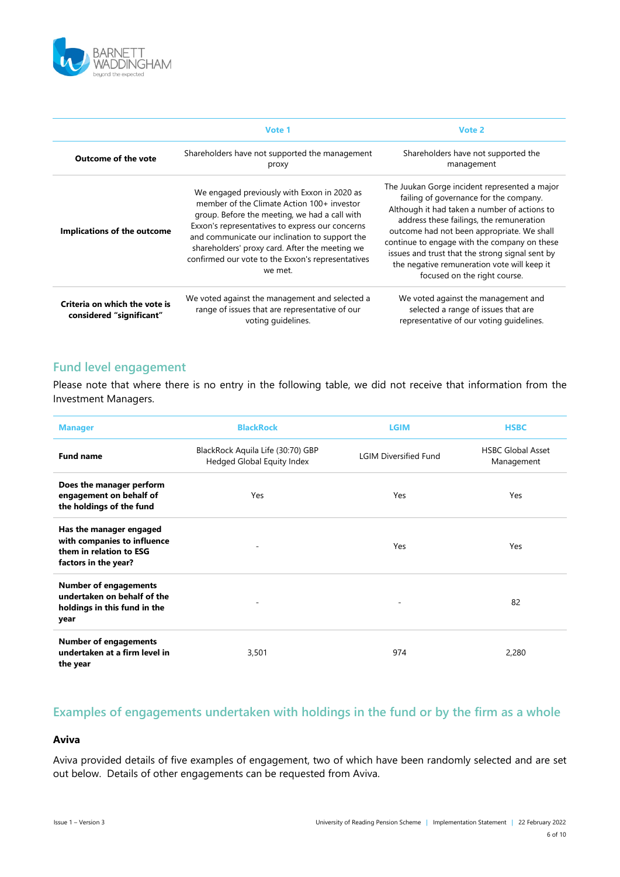

|                                                           | Vote 1                                                                                                                                                                                                                                                                                                                                                            | Vote 2                                                                                                                                                                                                                                                                                                                                                                                                              |
|-----------------------------------------------------------|-------------------------------------------------------------------------------------------------------------------------------------------------------------------------------------------------------------------------------------------------------------------------------------------------------------------------------------------------------------------|---------------------------------------------------------------------------------------------------------------------------------------------------------------------------------------------------------------------------------------------------------------------------------------------------------------------------------------------------------------------------------------------------------------------|
| <b>Outcome of the vote</b>                                | Shareholders have not supported the management<br>proxy                                                                                                                                                                                                                                                                                                           | Shareholders have not supported the<br>management                                                                                                                                                                                                                                                                                                                                                                   |
| Implications of the outcome                               | We engaged previously with Exxon in 2020 as<br>member of the Climate Action 100+ investor<br>group. Before the meeting, we had a call with<br>Exxon's representatives to express our concerns<br>and communicate our inclination to support the<br>shareholders' proxy card. After the meeting we<br>confirmed our vote to the Exxon's representatives<br>we met. | The Juukan Gorge incident represented a major<br>failing of governance for the company.<br>Although it had taken a number of actions to<br>address these failings, the remuneration<br>outcome had not been appropriate. We shall<br>continue to engage with the company on these<br>issues and trust that the strong signal sent by<br>the negative remuneration vote will keep it<br>focused on the right course. |
| Criteria on which the vote is<br>considered "significant" | We voted against the management and selected a<br>range of issues that are representative of our<br>voting quidelines.                                                                                                                                                                                                                                            | We voted against the management and<br>selected a range of issues that are<br>representative of our voting quidelines.                                                                                                                                                                                                                                                                                              |

### **Fund level engagement**

Please note that where there is no entry in the following table, we did not receive that information from the Investment Managers.

| <b>Manager</b>                                                                                            | <b>BlackRock</b>                                                | <b>LGIM</b>                  | <b>HSBC</b>                            |
|-----------------------------------------------------------------------------------------------------------|-----------------------------------------------------------------|------------------------------|----------------------------------------|
| <b>Fund name</b>                                                                                          | BlackRock Aquila Life (30:70) GBP<br>Hedged Global Equity Index | <b>LGIM Diversified Fund</b> | <b>HSBC Global Asset</b><br>Management |
| Does the manager perform<br>engagement on behalf of<br>the holdings of the fund                           | Yes                                                             | <b>Yes</b>                   | Yes                                    |
| Has the manager engaged<br>with companies to influence<br>them in relation to ESG<br>factors in the year? |                                                                 | Yes                          | Yes                                    |
| <b>Number of engagements</b><br>undertaken on behalf of the<br>holdings in this fund in the<br>year       |                                                                 |                              | 82                                     |
| <b>Number of engagements</b><br>undertaken at a firm level in<br>the year                                 | 3,501                                                           | 974                          | 2,280                                  |

## **Examples of engagements undertaken with holdings in the fund or by the firm as a whole**

#### **Aviva**

Aviva provided details of five examples of engagement, two of which have been randomly selected and are set out below. Details of other engagements can be requested from Aviva.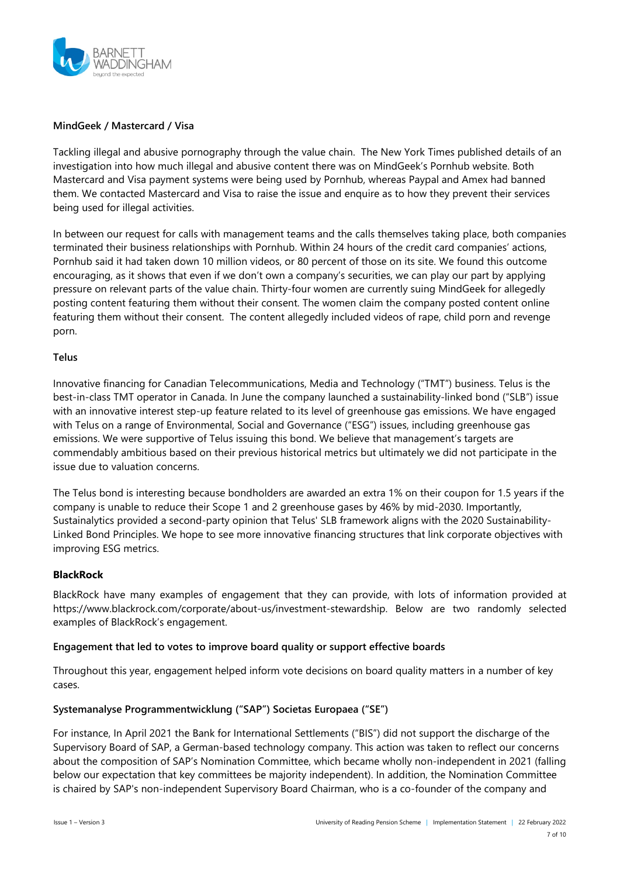

#### **MindGeek / Mastercard / Visa**

Tackling illegal and abusive pornography through the value chain. The New York Times published details of an investigation into how much illegal and abusive content there was on MindGeek's Pornhub website. Both Mastercard and Visa payment systems were being used by Pornhub, whereas Paypal and Amex had banned them. We contacted Mastercard and Visa to raise the issue and enquire as to how they prevent their services being used for illegal activities.

In between our request for calls with management teams and the calls themselves taking place, both companies terminated their business relationships with Pornhub. Within 24 hours of the credit card companies' actions, Pornhub said it had taken down 10 million videos, or 80 percent of those on its site. We found this outcome encouraging, as it shows that even if we don't own a company's securities, we can play our part by applying pressure on relevant parts of the value chain. Thirty-four women are currently suing MindGeek for allegedly posting content featuring them without their consent. The women claim the company posted content online featuring them without their consent. The content allegedly included videos of rape, child porn and revenge porn.

#### **Telus**

Innovative financing for Canadian Telecommunications, Media and Technology ("TMT") business. Telus is the best-in-class TMT operator in Canada. In June the company launched a sustainability-linked bond ("SLB") issue with an innovative interest step-up feature related to its level of greenhouse gas emissions. We have engaged with Telus on a range of Environmental, Social and Governance ("ESG") issues, including greenhouse gas emissions. We were supportive of Telus issuing this bond. We believe that management's targets are commendably ambitious based on their previous historical metrics but ultimately we did not participate in the issue due to valuation concerns.

The Telus bond is interesting because bondholders are awarded an extra 1% on their coupon for 1.5 years if the company is unable to reduce their Scope 1 and 2 greenhouse gases by 46% by mid-2030. Importantly, Sustainalytics provided a second-party opinion that Telus' SLB framework aligns with the 2020 Sustainability-Linked Bond Principles. We hope to see more innovative financing structures that link corporate objectives with improving ESG metrics.

#### **BlackRock**

BlackRock have many examples of engagement that they can provide, with lots of information provided at https://www.blackrock.com/corporate/about-us/investment-stewardship. Below are two randomly selected examples of BlackRock's engagement.

#### **Engagement that led to votes to improve board quality or support effective boards**

Throughout this year, engagement helped inform vote decisions on board quality matters in a number of key cases.

#### **Systemanalyse Programmentwicklung ("SAP") Societas Europaea ("SE")**

For instance, In April 2021 the Bank for International Settlements ("BIS") did not support the discharge of the Supervisory Board of SAP, a German-based technology company. This action was taken to reflect our concerns about the composition of SAP's Nomination Committee, which became wholly non-independent in 2021 (falling below our expectation that key committees be majority independent). In addition, the Nomination Committee is chaired by SAP's non-independent Supervisory Board Chairman, who is a co-founder of the company and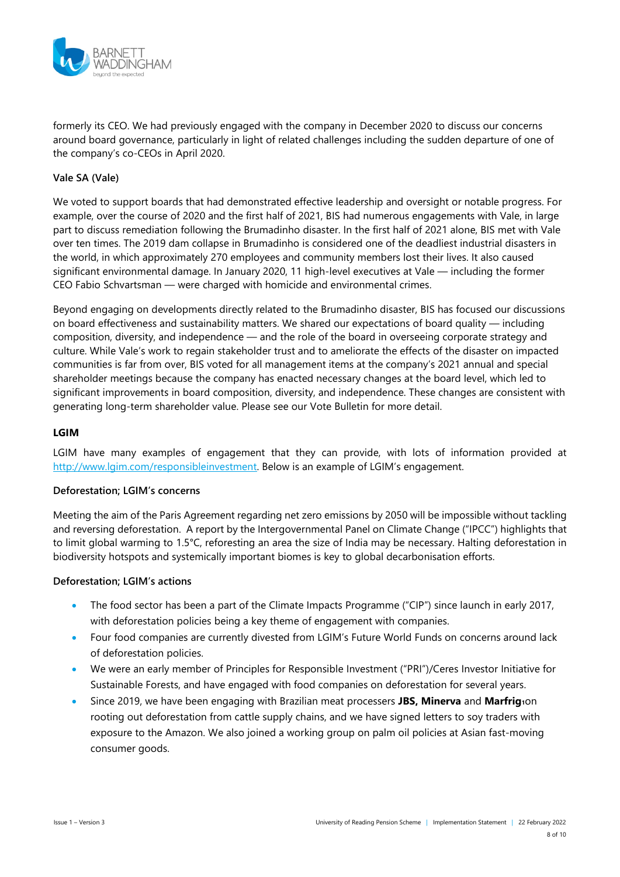

formerly its CEO. We had previously engaged with the company in December 2020 to discuss our concerns around board governance, particularly in light of related challenges including the sudden departure of one of the company's co-CEOs in April 2020.

#### **Vale SA (Vale)**

We voted to support boards that had demonstrated effective leadership and oversight or notable progress. For example, over the course of 2020 and the first half of 2021, BIS had numerous engagements with Vale, in large part to discuss remediation following the Brumadinho disaster. In the first half of 2021 alone, BIS met with Vale over ten times. The 2019 dam collapse in Brumadinho is considered one of the deadliest industrial disasters in the world, in which approximately 270 employees and community members lost their lives. It also caused significant environmental damage. In January 2020, 11 high-level executives at Vale — including the former CEO Fabio Schvartsman — were charged with homicide and environmental crimes.

Beyond engaging on developments directly related to the Brumadinho disaster, BIS has focused our discussions on board effectiveness and sustainability matters. We shared our expectations of board quality — including composition, diversity, and independence — and the role of the board in overseeing corporate strategy and culture. While Vale's work to regain stakeholder trust and to ameliorate the effects of the disaster on impacted communities is far from over, BIS voted for all management items at the company's 2021 annual and special shareholder meetings because the company has enacted necessary changes at the board level, which led to significant improvements in board composition, diversity, and independence. These changes are consistent with generating long-term shareholder value. Please see our Vote Bulletin for more detail.

#### **LGIM**

LGIM have many examples of engagement that they can provide, with lots of information provided at [http://www.lgim.com/responsibleinvestment.](http://www.lgim.com/responsibleinvestment) Below is an example of LGIM's engagement.

#### **Deforestation; LGIM's concerns**

Meeting the aim of the Paris Agreement regarding net zero emissions by 2050 will be impossible without tackling and reversing deforestation. A report by the Intergovernmental Panel on Climate Change ("IPCC") highlights that to limit global warming to 1.5°C, reforesting an area the size of India may be necessary. Halting deforestation in biodiversity hotspots and systemically important biomes is key to global decarbonisation efforts.

#### **Deforestation; LGIM's actions**

- The food sector has been a part of the Climate Impacts Programme ("CIP") since launch in early 2017, with deforestation policies being a key theme of engagement with companies.
- Four food companies are currently divested from LGIM's Future World Funds on concerns around lack of deforestation policies.
- We were an early member of Principles for Responsible Investment ("PRI")/Ceres Investor Initiative for Sustainable Forests, and have engaged with food companies on deforestation for several years.
- Since 2019, we have been engaging with Brazilian meat processers **JBS, Minerva** and Marfrig10n rooting out deforestation from cattle supply chains, and we have signed letters to soy traders with exposure to the Amazon. We also joined a working group on palm oil policies at Asian fast-moving consumer goods.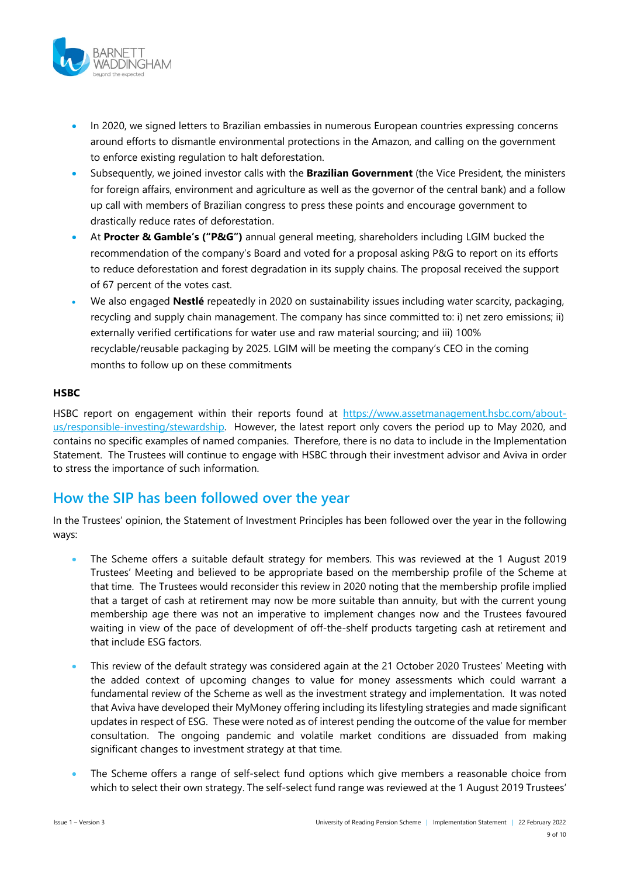

- In 2020, we signed letters to Brazilian embassies in numerous European countries expressing concerns around efforts to dismantle environmental protections in the Amazon, and calling on the government to enforce existing regulation to halt deforestation.
- Subsequently, we joined investor calls with the **Brazilian Government** (the Vice President, the ministers for foreign affairs, environment and agriculture as well as the governor of the central bank) and a follow up call with members of Brazilian congress to press these points and encourage government to drastically reduce rates of deforestation.
- At **Procter & Gamble's ("P&G")** annual general meeting, shareholders including LGIM bucked the recommendation of the company's Board and voted for a proposal asking P&G to report on its efforts to reduce deforestation and forest degradation in its supply chains. The proposal received the support of 67 percent of the votes cast.
- We also engaged **Nestlé** repeatedly in 2020 on sustainability issues including water scarcity, packaging, recycling and supply chain management. The company has since committed to: i) net zero emissions; ii) externally verified certifications for water use and raw material sourcing; and iii) 100% recyclable/reusable packaging by 2025. LGIM will be meeting the company's CEO in the coming months to follow up on these commitments

#### **HSBC**

HSBC report on engagement within their reports found at [https://www.assetmanagement.hsbc.com/about](https://www.assetmanagement.hsbc.com/about-us/responsible-investing/stewardship)[us/responsible-investing/stewardship.](https://www.assetmanagement.hsbc.com/about-us/responsible-investing/stewardship) However, the latest report only covers the period up to May 2020, and contains no specific examples of named companies. Therefore, there is no data to include in the Implementation Statement. The Trustees will continue to engage with HSBC through their investment advisor and Aviva in order to stress the importance of such information.

## **How the SIP has been followed over the year**

In the Trustees' opinion, the Statement of Investment Principles has been followed over the year in the following ways:

- The Scheme offers a suitable default strategy for members. This was reviewed at the 1 August 2019 Trustees' Meeting and believed to be appropriate based on the membership profile of the Scheme at that time. The Trustees would reconsider this review in 2020 noting that the membership profile implied that a target of cash at retirement may now be more suitable than annuity, but with the current young membership age there was not an imperative to implement changes now and the Trustees favoured waiting in view of the pace of development of off-the-shelf products targeting cash at retirement and that include ESG factors.
- This review of the default strategy was considered again at the 21 October 2020 Trustees' Meeting with the added context of upcoming changes to value for money assessments which could warrant a fundamental review of the Scheme as well as the investment strategy and implementation. It was noted that Aviva have developed their MyMoney offering including its lifestyling strategies and made significant updates in respect of ESG. These were noted as of interest pending the outcome of the value for member consultation. The ongoing pandemic and volatile market conditions are dissuaded from making significant changes to investment strategy at that time.
- The Scheme offers a range of self-select fund options which give members a reasonable choice from which to select their own strategy. The self-select fund range was reviewed at the 1 August 2019 Trustees'